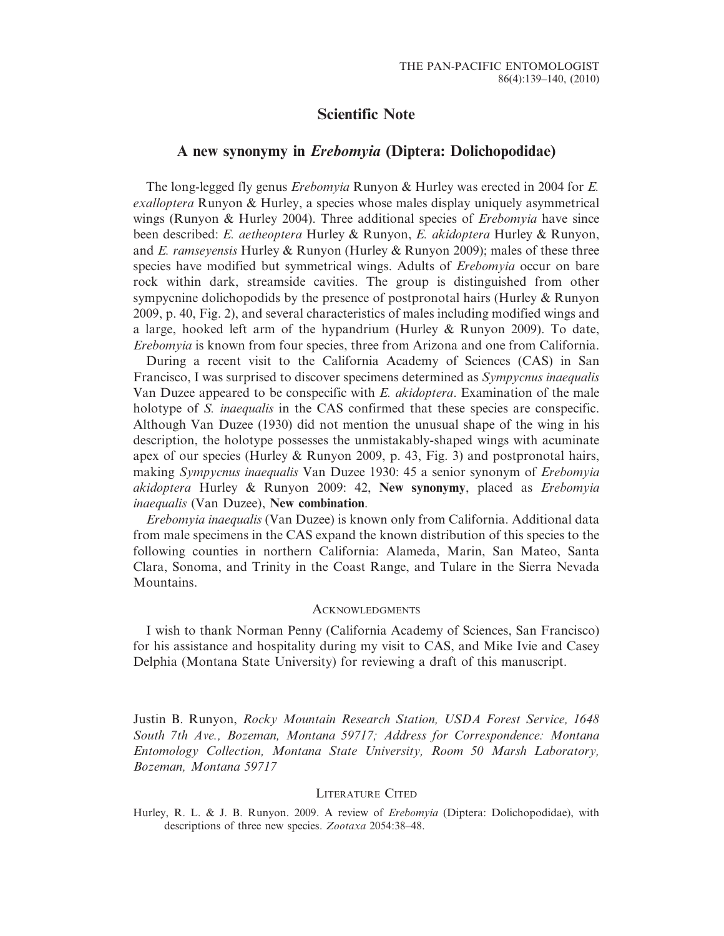## Scientific Note

## A new synonymy in Erebomyia (Diptera: Dolichopodidae)

The long-legged fly genus Erebomyia Runyon & Hurley was erected in 2004 for E. exalloptera Runyon & Hurley, a species whose males display uniquely asymmetrical wings (Runyon & Hurley 2004). Three additional species of *Erebomyia* have since been described: E. aetheoptera Hurley & Runyon, E. akidoptera Hurley & Runyon, and E. ramseyensis Hurley & Runyon (Hurley & Runyon 2009); males of these three species have modified but symmetrical wings. Adults of *Erebomyia* occur on bare rock within dark, streamside cavities. The group is distinguished from other sympycnine dolichopodids by the presence of postpronotal hairs (Hurley & Runyon 2009, p. 40, Fig. 2), and several characteristics of males including modified wings and a large, hooked left arm of the hypandrium (Hurley & Runyon 2009). To date, Erebomyia is known from four species, three from Arizona and one from California.

During a recent visit to the California Academy of Sciences (CAS) in San Francisco, I was surprised to discover specimens determined as Sympycnus inaequalis Van Duzee appeared to be conspecific with E. akidoptera. Examination of the male holotype of S. *inaequalis* in the CAS confirmed that these species are conspecific. Although Van Duzee (1930) did not mention the unusual shape of the wing in his description, the holotype possesses the unmistakably-shaped wings with acuminate apex of our species (Hurley & Runyon 2009, p. 43, Fig. 3) and postpronotal hairs, making Sympycnus inaequalis Van Duzee 1930: 45 a senior synonym of Erebomyia akidoptera Hurley & Runyon 2009: 42, New synonymy, placed as Erebomyia inaequalis (Van Duzee), New combination.

Erebomyia inaequalis (Van Duzee) is known only from California. Additional data from male specimens in the CAS expand the known distribution of this species to the following counties in northern California: Alameda, Marin, San Mateo, Santa Clara, Sonoma, and Trinity in the Coast Range, and Tulare in the Sierra Nevada Mountains.

## **ACKNOWLEDGMENTS**

I wish to thank Norman Penny (California Academy of Sciences, San Francisco) for his assistance and hospitality during my visit to CAS, and Mike Ivie and Casey Delphia (Montana State University) for reviewing a draft of this manuscript.

Justin B. Runyon, Rocky Mountain Research Station, USDA Forest Service, 1648 South 7th Ave., Bozeman, Montana 59717; Address for Correspondence: Montana Entomology Collection, Montana State University, Room 50 Marsh Laboratory, Bozeman, Montana 59717

## LITERATURE CITED

Hurley, R. L. & J. B. Runyon. 2009. A review of Erebomyia (Diptera: Dolichopodidae), with descriptions of three new species. Zootaxa 2054:38–48.